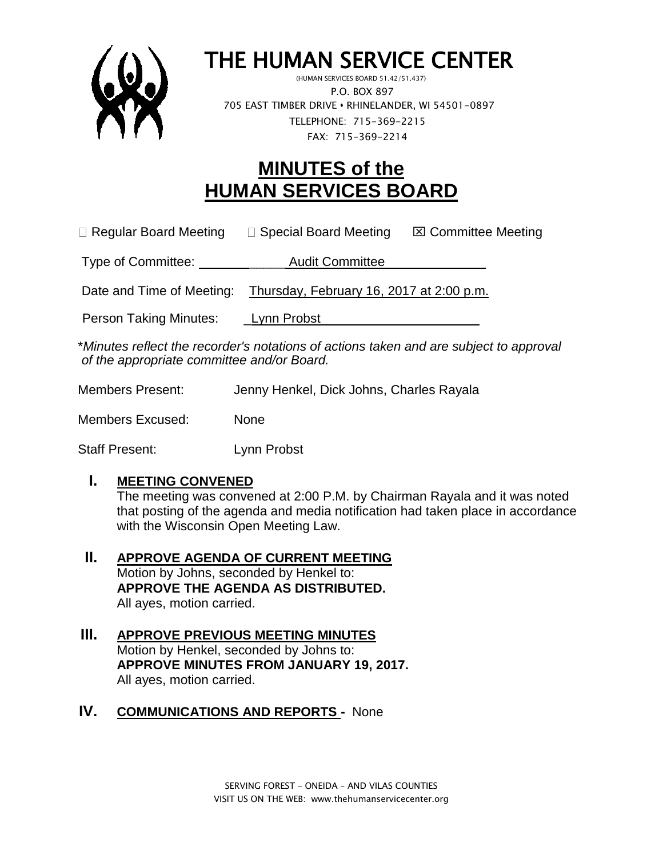

# THE HUMAN SERVICE CENTER

 (HUMAN SERVICES BOARD 51.42/51.437) P.O. BOX 897 705 EAST TIMBER DRIVE **•** RHINELANDER, WI 54501-0897 TELEPHONE: 715-369-2215 FAX: 715-369-2214

# **MINUTES of the HUMAN SERVICES BOARD**

 $\Box$  Regular Board Meeting  $\Box$  Special Board Meeting  $\Box$  Committee Meeting

Type of Committee: \_\_\_\_\_\_\_\_\_\_\_\_\_\_\_\_\_\_\_\_\_\_ Audit Committee\_\_\_\_\_

Date and Time of Meeting: Thursday, February 16, 2017 at 2:00 p.m.

Person Taking Minutes: Lynn Probst

\**Minutes reflect the recorder's notations of actions taken and are subject to approval of the appropriate committee and/or Board.*

Members Present: Jenny Henkel, Dick Johns, Charles Rayala

Members Excused: None

Staff Present: Lynn Probst

#### **I. MEETING CONVENED**

The meeting was convened at 2:00 P.M. by Chairman Rayala and it was noted that posting of the agenda and media notification had taken place in accordance with the Wisconsin Open Meeting Law.

- **II. APPROVE AGENDA OF CURRENT MEETING** Motion by Johns, seconded by Henkel to: **APPROVE THE AGENDA AS DISTRIBUTED.** All ayes, motion carried.
- **III. APPROVE PREVIOUS MEETING MINUTES**  Motion by Henkel, seconded by Johns to: **APPROVE MINUTES FROM JANUARY 19, 2017.** All ayes, motion carried.
- **IV. COMMUNICATIONS AND REPORTS -** None